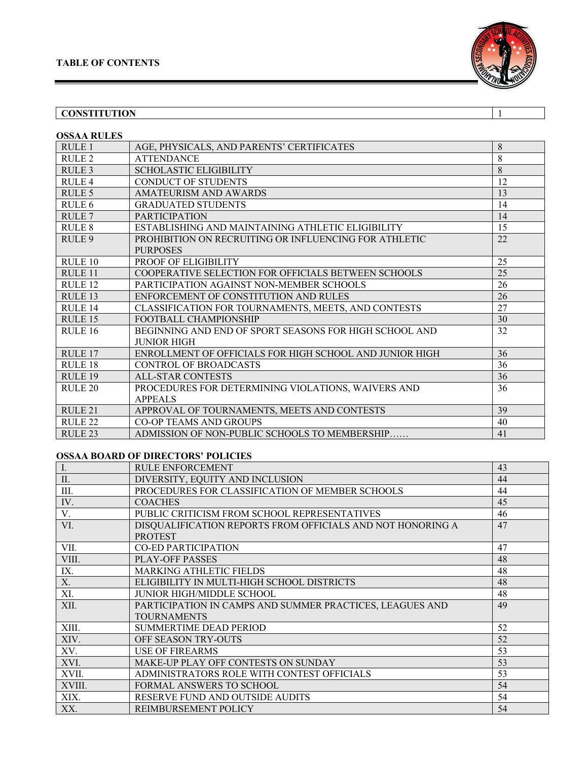

## **CONSTITUTION** 1

| <b>OSSAA RULES</b> |                                                                          |    |
|--------------------|--------------------------------------------------------------------------|----|
| RULE 1             | AGE, PHYSICALS, AND PARENTS' CERTIFICATES                                | 8  |
| RULE <sub>2</sub>  | <b>ATTENDANCE</b>                                                        | 8  |
| RULE <sub>3</sub>  | <b>SCHOLASTIC ELIGIBILITY</b>                                            | 8  |
| RULE <sub>4</sub>  | <b>CONDUCT OF STUDENTS</b>                                               | 12 |
| RULE <sub>5</sub>  | AMATEURISM AND AWARDS                                                    | 13 |
| RULE <sub>6</sub>  | <b>GRADUATED STUDENTS</b>                                                | 14 |
| RULE <sub>7</sub>  | <b>PARTICIPATION</b>                                                     | 14 |
| RULE 8             | ESTABLISHING AND MAINTAINING ATHLETIC ELIGIBILITY                        | 15 |
| RULE <sub>9</sub>  | PROHIBITION ON RECRUITING OR INFLUENCING FOR ATHLETIC<br><b>PURPOSES</b> | 22 |
| RULE 10            | PROOF OF ELIGIBILITY                                                     | 25 |
| RULE <sub>11</sub> | COOPERATIVE SELECTION FOR OFFICIALS BETWEEN SCHOOLS                      | 25 |
| RULE <sub>12</sub> | PARTICIPATION AGAINST NON-MEMBER SCHOOLS                                 | 26 |
| RULE <sub>13</sub> | ENFORCEMENT OF CONSTITUTION AND RULES                                    | 26 |
| RULE <sub>14</sub> | CLASSIFICATION FOR TOURNAMENTS, MEETS, AND CONTESTS                      | 27 |
| RULE <sub>15</sub> | FOOTBALL CHAMPIONSHIP                                                    | 30 |
| <b>RULE 16</b>     | BEGINNING AND END OF SPORT SEASONS FOR HIGH SCHOOL AND                   | 32 |
|                    | <b>JUNIOR HIGH</b>                                                       |    |
| RULE <sub>17</sub> | ENROLLMENT OF OFFICIALS FOR HIGH SCHOOL AND JUNIOR HIGH                  | 36 |
| RULE <sub>18</sub> | <b>CONTROL OF BROADCASTS</b>                                             | 36 |
| RULE <sub>19</sub> | <b>ALL-STAR CONTESTS</b>                                                 | 36 |
| RULE <sub>20</sub> | PROCEDURES FOR DETERMINING VIOLATIONS, WAIVERS AND                       | 36 |
|                    | <b>APPEALS</b>                                                           |    |
| RULE <sub>21</sub> | APPROVAL OF TOURNAMENTS, MEETS AND CONTESTS                              | 39 |
| RULE <sub>22</sub> | <b>CO-OP TEAMS AND GROUPS</b>                                            | 40 |
| RULE <sub>23</sub> | ADMISSION OF NON-PUBLIC SCHOOLS TO MEMBERSHIP                            | 41 |

## **OSSAA BOARD OF DIRECTORS' POLICIES**

| Ι.     | <b>RULE ENFORCEMENT</b>                                    | 43 |
|--------|------------------------------------------------------------|----|
| II.    | DIVERSITY, EQUITY AND INCLUSION                            | 44 |
| III.   | PROCEDURES FOR CLASSIFICATION OF MEMBER SCHOOLS            | 44 |
| IV.    | <b>COACHES</b>                                             | 45 |
| V.     | PUBLIC CRITICISM FROM SCHOOL REPRESENTATIVES               | 46 |
| VI.    | DISQUALIFICATION REPORTS FROM OFFICIALS AND NOT HONORING A | 47 |
|        | <b>PROTEST</b>                                             |    |
| VII.   | <b>CO-ED PARTICIPATION</b>                                 | 47 |
| VIII.  | PLAY-OFF PASSES                                            | 48 |
| IX.    | <b>MARKING ATHLETIC FIELDS</b>                             | 48 |
| X.     | ELIGIBILITY IN MULTI-HIGH SCHOOL DISTRICTS                 | 48 |
| XI.    | <b>JUNIOR HIGH/MIDDLE SCHOOL</b>                           | 48 |
| XII.   | PARTICIPATION IN CAMPS AND SUMMER PRACTICES, LEAGUES AND   | 49 |
|        | <b>TOURNAMENTS</b>                                         |    |
| XIII.  | <b>SUMMERTIME DEAD PERIOD</b>                              | 52 |
| XIV.   | <b>OFF SEASON TRY-OUTS</b>                                 | 52 |
| XV.    | <b>USE OF FIREARMS</b>                                     | 53 |
| XVI.   | MAKE-UP PLAY OFF CONTESTS ON SUNDAY                        | 53 |
| XVII.  | ADMINISTRATORS ROLE WITH CONTEST OFFICIALS                 | 53 |
| XVIII. | <b>FORMAL ANSWERS TO SCHOOL</b>                            | 54 |
| XIX.   | RESERVE FUND AND OUTSIDE AUDITS                            | 54 |
| XX.    | <b>REIMBURSEMENT POLICY</b>                                | 54 |